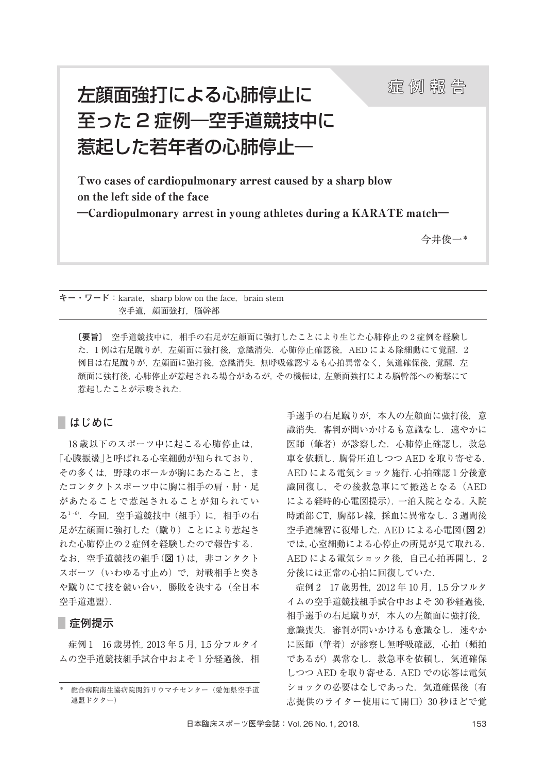# 左顔面強打による心肺停止に おりに おくい おくいく 至った 2 症例―空手道競技中に 惹起した若年者の心肺停止―

Two cases of cardiopulmonary arrest caused by a sharp blow on the left side of the face ―Cardiopulmonary arrest in young athletes during a KARATE match―

今井俊一\*

 $\dagger - \cdot \nabla - \nabla$ : karate, sharp blow on the face, brain stem 空手道, 顔面強打, 脳幹部

**〔要旨〕** 空手道競技中に,相手の右足が左顔面に強打したことにより生じた心肺停止の 2 症例を経験し た. 1 例は右足蹴りが, 左顔面に強打後、意識消失. 心肺停止確認後. AED による除細動にて覚醒. 2 例目は右足蹴りが,左顔面に強打後,意識消失.無呼吸確認するも心拍異常なく,気道確保後,覚醒.左 顔面に強打後,心肺停止が惹起される場合があるが,その機転は,左顔面強打による脳幹部への衝撃にて 惹起したことが示唆された.

## **はじめに**

18 歳以下のスポーツ中に起こる心肺停止は, 「心臓振盪」と呼ばれる心室細動が知られており, その多くは、野球のボールが胸にあたること、ま たコンタクトスポーツ中に胸に相手の肩・肘・足 があたることで惹起されることが知られてい る1~6).今回,空手道競技中(組手)に,相手の右 足が左顔面に強打した(蹴り)ことにより惹起さ れた心肺停止の 2 症例を経験したので報告する. なお,空手道競技の組手(**図 1**)は,非コンタクト スポーツ(いわゆる寸止め)で,対戦相手と突き や蹴りにて技を競い合い,勝敗を決する(全日本 空手道連盟).

## **症例提示**

症例 1 16 歳男性,2013 年 5 月,1.5 分フルタイ ムの空手道競技組手試合中およそ1分経過後, 相 手選手の右足蹴りが、本人の左顔面に強打後, 意 識消失. 審判が問いかけるも意識なし. 速やかに 医師(筆者)が診察した. 心肺停止確認し, 救急 車を依頼し,胸骨圧迫しつつ AED を取り寄せる. AED による電気ショック施行.心拍確認 1 分後意 識回復し,その後救急車にて搬送となる(AED による経時的心電図提示).一泊入院となる.入院 時頭部 CT, 胸部レ線, 採血に異常なし. 3 週間後 空手道練習に復帰した.AED による心電図(**図 2**) では,心室細動による心停止の所見が見て取れる. AED による電気ショック後、自己心拍再開し、2 分後には正常の心拍に回復していた.

症例 2 17 歳男性,2012 年 10 月,1.5 分フルタ イムの空手道競技組手試合中およそ 30 秒経過後, 相手選手の右足蹴りが,本人の左顔面に強打後, 意識喪失. 審判が問いかけるも意識なし. 速やか に医師(筆者)が診察し無呼吸確認, 心拍(頻拍 であるが)異常なし.救急車を依頼し,気道確保 しつつ AED を取り寄せる.AED での応答は電気 ショックの必要はなしであった. 気道確保後(有 志提供のライター使用にて開口) 30 秒ほどで覚

<sup>\*</sup> 総合病院南生協病院関節リウマチセンター(愛知県空手道 連盟ドクター)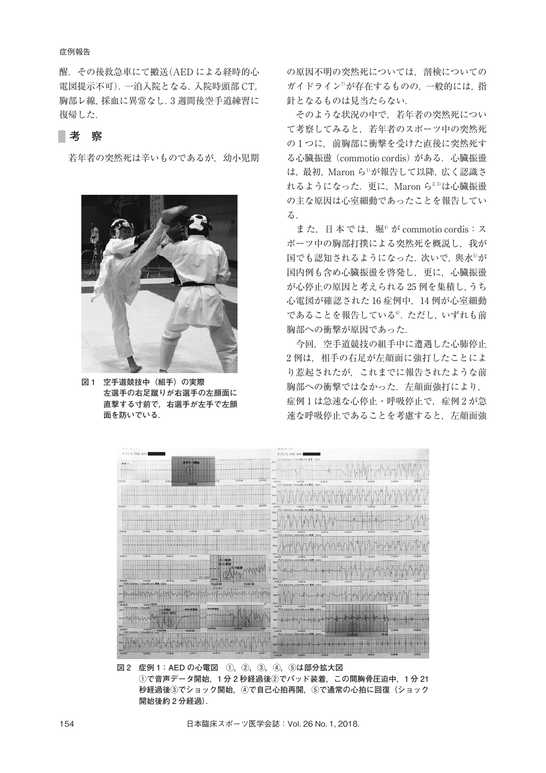#### 症例報告

醒.その後救急車にて搬送(AED による経時的心 電図提示不可).一泊入院となる.入院時頭部 CT, 胸部レ線,採血に異常なし.3 週間後空手道練習に 復帰した.

## **考 察**

若年者の突然死は辛いものであるが、幼小児期



**図 1 空手道競技中(組手)の実際 左選手の右足蹴りが右選手の左顔面に 直撃する寸前で,右選手が左手で左顔 面を防いでいる.**

の原因不明の突然死については,剖検についての ガイドライン<sup>7)</sup>が存在するものの, 一般的には, 指 針となるものは見当たらない.

そのような状況の中で,若年者の突然死につい て考察してみると,若年者のスポーツ中の突然死 の1つに、前胸部に衝撃を受けた直後に突然死す る心臓振盪(commotio cordis)がある.心臓振盪 は,最初,Maron ら<sup>1)</sup>が報告して以降,広く認識さ れるようになった.更に,Maron ら $^{2.3)}$ は心臓振盪 の主な原因は心室細動であったことを報告してい る.

また. 日本では. 堀<sup>4)</sup>が commotio cordis:ス ポーツ中の胸部打撲による突然死を概説し,我が 国でも認知されるようになった. 次いで, 與水 $^5$ が 国内例も含め心臓振盪を啓発し,更に,心臓振盪 が心停止の原因と考えられる 25 例を集積し,うち 心電図が確認された 16 症例中,14 例が心室細動 であることを報告している®. ただし, いずれも前 胸部への衝撃が原因であった.

今回,空手道競技の組手中に遭遇した心肺停止 2 例は、相手の右足が左顔面に強打したことによ り惹起されたが,これまでに報告されたような前 胸部への衝撃ではなかった. 左顔面強打により, 症例1は急速な心停止・呼吸停止で、症例2が急 速な呼吸停止であることを考慮すると、左顔面強



**図 2 症例 1:AED の心電図 ①,②,③,④,⑤は部分拡大図 ①で音声データ開始,1 分 2 秒経過後②でパッド装着,この間胸骨圧迫中,1 分 21 秒経過後③でショック開始,④で自己心拍再開,⑤で通常の心拍に回復(ショック 開始後約 2 分経過).**

154 日本臨床スポーツ医学会誌:Vol. 26 No. 1, 2018.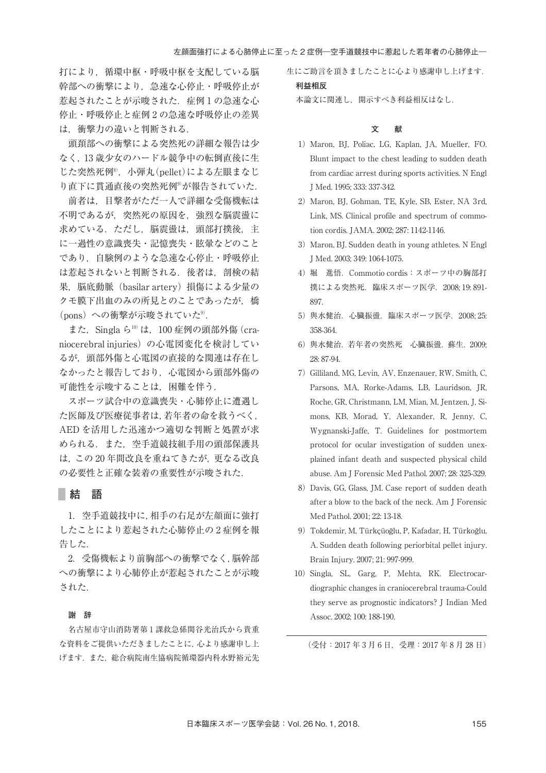打により,循環中枢・呼吸中枢を支配している脳 幹部への衝撃により,急速な心停止・呼吸停止が 惹起されたことが示唆された.症例 1 の急速な心 停止・呼吸停止と症例 2 の急速な呼吸停止の差異 は,衝撃力の違いと判断される.

頭頚部への衝撃による突然死の詳細な報告は少 なく,13 歳少女のハードル競争中の転倒直後に生 じた突然死例8) ,小弾丸(pellet)による左眼まなじ り直下に貫通直後の突然死例®が報告されていた.

前者は,目撃者がただ一人で詳細な受傷機転は 不明であるが,突然死の原因を,強烈な脳震盪に 求めている.ただし,脳震盪は,頭部打撲後,主 に一過性の意識喪失・記憶喪失・眩暈などのこと であり,自験例のような急速な心停止・呼吸停止 は惹起されないと判断される.後者は,剖検の結 果, 脳底動脈 (basilar artery) 損傷による少量の クモ膜下出血のみの所見とのことであったが、橋 (pons)への衝撃が示唆されていた<sup>9)</sup>.

また,Singla ら<sup>10)</sup> は,100 症例の頭部外傷 (craniocerebral injuries)の心電図変化を検討してい るが,頭部外傷と心電図の直接的な関連は存在し なかったと報告しており、心電図から頭部外傷の 可能性を示唆することは,困難を伴う.

スポーツ試合中の意識喪失・心肺停止に遭遇し た医師及び医療従事者は,若年者の命を救うべく, AED を活用した迅速かつ適切な判断と処置が求 められる.また,空手道競技組手用の頭部保護具 は,この 20 年間改良を重ねてきたが,更なる改良 の必要性と正確な装着の重要性が示唆された.

#### **結 語**

1. 空手道競技中に,相手の右足が左顔面に強打 したことにより惹起された心肺停止の 2 症例を報 告した.

2.受傷機転より前胸部への衝撃でなく,脳幹部 への衝撃により心肺停止が惹起されたことが示唆 された.

#### **謝 辞**

名古屋市守山消防署第 1 課救急係関谷光治氏から貴重 な資料をご提供いただきましたことに,心より感謝申し上 げます.また,総合病院南生協病院循環器内科水野裕元先 生にご助言を頂きましたことに心より感謝申し上げます. **利益相反**

本論文に関連し,開示すべき利益相反はなし.

#### **文 献**

- 1)Maron, BJ, Poliac, LG, Kaplan, JA, Mueller, FO. Blunt impact to the chest leading to sudden death from cardiac arrest during sports activities. N Engl J Med. 1995; 333: 337-342.
- 2) Maron, BJ, Gohman, TE, Kyle, SB, Ester, NA 3rd, Link, MS. Clinical profile and spectrum of commotion cordis. JAMA. 2002; 287: 1142-1146.
- 3) Maron, BJ. Sudden death in young athletes. N Engl J Med. 2003; 349: 1064-1075.
- 4)堀 進悟.Commotio cordis:スポーツ中の胸部打 撲による突然死.臨床スポーツ医学.2008; 19: 891- 897.
- 5) 與水健治. 心臓振盪. 臨床スポーツ医学. 2008; 25: 358-364.
- 6) 與水健治. 若年者の突然死 心臓振盪. 蘇生. 2009; 28: 87-94.
- 7) Gilliland, MG, Levin, AV, Enzenauer, RW, Smith, C, Parsons, MA, Rorke-Adams, LB, Lauridson, JR, Roche, GR, Christmann, LM, Mian, M, Jentzen, J, Simons, KB, Morad, Y, Alexander, R, Jenny, C, Wygnanski-Jaffe, T. Guidelines for postmortem protocol for ocular investigation of sudden unexplained infant death and suspected physical child abuse. Am J Forensic Med Pathol. 2007; 28: 325-329.
- 8) Davis, GG, Glass, JM. Case report of sudden death after a blow to the back of the neck. Am J Forensic Med Pathol. 2001; 22: 13-18.
- 9)Tokdemir, M, Türkçüoğlu, P, Kafadar, H, Türkoğlu, A. Sudden death following periorbital pellet injury. Brain Injury. 2007; 21: 997-999.
- 10) Singla, SL, Garg, P, Mehta, RK. Electrocardiographic changes in craniocerebral trauma-Could they serve as prognostic indicators? J Indian Med Assoc. 2002; 100: 188-190.

(受付:2017 年 3 月 6 日,受理:2017 年 8 月 28 日)